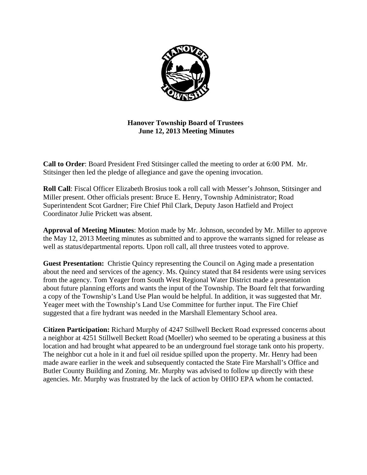

**Hanover Township Board of Trustees June 12, 2013 Meeting Minutes** 

**Call to Order**: Board President Fred Stitsinger called the meeting to order at 6:00 PM. Mr. Stitsinger then led the pledge of allegiance and gave the opening invocation.

**Roll Call**: Fiscal Officer Elizabeth Brosius took a roll call with Messer's Johnson, Stitsinger and Miller present. Other officials present: Bruce E. Henry, Township Administrator; Road Superintendent Scot Gardner; Fire Chief Phil Clark, Deputy Jason Hatfield and Project Coordinator Julie Prickett was absent.

**Approval of Meeting Minutes**: Motion made by Mr. Johnson, seconded by Mr. Miller to approve the May 12, 2013 Meeting minutes as submitted and to approve the warrants signed for release as well as status/departmental reports. Upon roll call, all three trustees voted to approve.

**Guest Presentation:** Christie Quincy representing the Council on Aging made a presentation about the need and services of the agency. Ms. Quincy stated that 84 residents were using services from the agency. Tom Yeager from South West Regional Water District made a presentation about future planning efforts and wants the input of the Township. The Board felt that forwarding a copy of the Township's Land Use Plan would be helpful. In addition, it was suggested that Mr. Yeager meet with the Township's Land Use Committee for further input. The Fire Chief suggested that a fire hydrant was needed in the Marshall Elementary School area.

**Citizen Participation:** Richard Murphy of 4247 Stillwell Beckett Road expressed concerns about a neighbor at 4251 Stillwell Beckett Road (Moeller) who seemed to be operating a business at this location and had brought what appeared to be an underground fuel storage tank onto his property. The neighbor cut a hole in it and fuel oil residue spilled upon the property. Mr. Henry had been made aware earlier in the week and subsequently contacted the State Fire Marshall's Office and Butler County Building and Zoning. Mr. Murphy was advised to follow up directly with these agencies. Mr. Murphy was frustrated by the lack of action by OHIO EPA whom he contacted.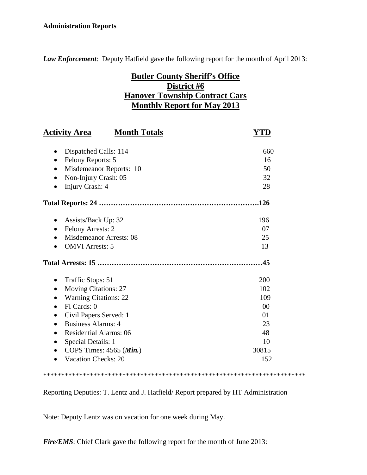#### **Administration Reports**

*Law Enforcement*: Deputy Hatfield gave the following report for the month of April 2013:

# **Butler County Sheriff's Office District #6 Hanover Township Contract Cars Monthly Report for May 2013**

| <b>Activity Area</b><br><b>Month Totals</b> |       |
|---------------------------------------------|-------|
| Dispatched Calls: 114<br>$\bullet$          | 660   |
| Felony Reports: 5<br>$\bullet$              | 16    |
| Misdemeanor Reports: 10                     | 50    |
| Non-Injury Crash: 05                        | 32    |
| Injury Crash: 4                             | 28    |
|                                             |       |
| Assists/Back Up: 32                         | 196   |
| <b>Felony Arrests: 2</b>                    | 07    |
| <b>Misdemeanor Arrests: 08</b>              | 25    |
| <b>OMVI</b> Arrests: 5                      | 13    |
|                                             |       |
| Traffic Stops: 51<br>$\bullet$              | 200   |
| <b>Moving Citations: 27</b><br>$\bullet$    | 102   |
| <b>Warning Citations: 22</b>                | 109   |
| FI Cards: 0                                 | 00    |
| Civil Papers Served: 1                      | 01    |
| <b>Business Alarms: 4</b><br>$\bullet$      | 23    |
| <b>Residential Alarms: 06</b>               | 48    |
| <b>Special Details: 1</b>                   | 10    |
| COPS Times: $4565$ ( <i>Min.</i> )          | 30815 |
| <b>Vacation Checks: 20</b>                  | 152   |
|                                             |       |

\*\*\*\*\*\*\*\*\*\*\*\*\*\*\*\*\*\*\*\*\*\*\*\*\*\*\*\*\*\*\*\*\*\*\*\*\*\*\*\*\*\*\*\*\*\*\*\*\*\*\*\*\*\*\*\*\*\*\*\*\*\*\*\*\*\*\*\*\*\*\*\*\*

Reporting Deputies: T. Lentz and J. Hatfield/ Report prepared by HT Administration

Note: Deputy Lentz was on vacation for one week during May.

*Fire/EMS*: Chief Clark gave the following report for the month of June 2013: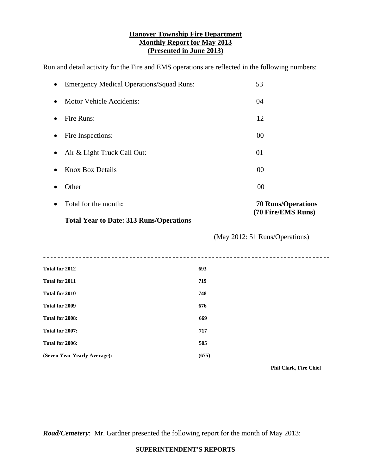#### **Hanover Township Fire Department Monthly Report for May 2013 (Presented in June 2013)**

Run and detail activity for the Fire and EMS operations are reflected in the following numbers:

| <b>Emergency Medical Operations/Squad Runs:</b>     | 53                             |
|-----------------------------------------------------|--------------------------------|
| <b>Motor Vehicle Accidents:</b><br>$\bullet$        | 04                             |
| Fire Runs:<br>$\bullet$                             | 12                             |
| Fire Inspections:<br>$\bullet$                      | 00                             |
| Air & Light Truck Call Out:<br>٠                    | 01                             |
| <b>Knox Box Details</b><br>٠                        | 00                             |
| Other                                               | 00                             |
| Total for the month:                                | <b>70 Runs/Operations</b>      |
| <b>Total Year to Date: 313 Runs/Operations</b>      | (70 Fire/EMS Runs)             |
|                                                     | (May 2012: 51 Runs/Operations) |
| ---------------------------------<br>Total for 2012 |                                |
|                                                     | 693                            |
|                                                     | 719                            |
|                                                     | 748                            |
| Total for 2011<br>Total for 2010<br>Total for 2009  | 676                            |
| Total for 2008:                                     | 669                            |
| Total for 2007:                                     | 717                            |
| Total for 2006:                                     | 505                            |

 $\overline{\phantom{a}}$ 

 **Phil Clark, Fire Chief** 

*Road/Cemetery*: Mr. Gardner presented the following report for the month of May 2013:

#### **SUPERINTENDENT'S REPORTS**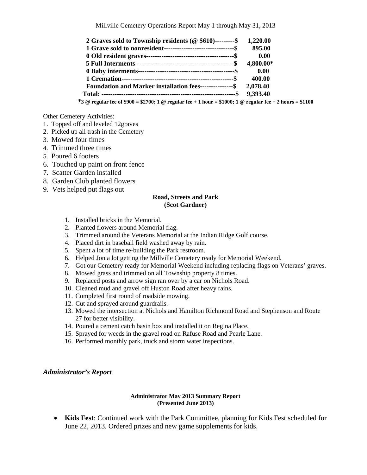| 2 Graves sold to Township residents ( $@$ \$610)---------\$ | 1,220.00  |
|-------------------------------------------------------------|-----------|
|                                                             | 895.00    |
|                                                             | 0.00      |
|                                                             | 4,800.00* |
|                                                             | 0.00      |
|                                                             | 400.00    |
| Foundation and Marker installation fees----------------\$   | 2,078.40  |
|                                                             |           |

 **\*3 @ regular fee of \$900 = \$2700; 1 @ regular fee + 1 hour = \$1000; 1 @ regular fee + 2 hours = \$1100** 

Other Cemetery Activities:

- 1. Topped off and leveled 12graves
- 2. Picked up all trash in the Cemetery
- 3. Mowed four times
- 4. Trimmed three times
- 5. Poured 6 footers
- 6. Touched up paint on front fence
- 7. Scatter Garden installed
- 8. Garden Club planted flowers
- 9. Vets helped put flags out

#### **Road, Streets and Park (Scot Gardner)**

- 1. Installed bricks in the Memorial.
- 2. Planted flowers around Memorial flag.
- 3. Trimmed around the Veterans Memorial at the Indian Ridge Golf course.
- 4. Placed dirt in baseball field washed away by rain.
- 5. Spent a lot of time re-building the Park restroom.
- 6. Helped Jon a lot getting the Millville Cemetery ready for Memorial Weekend.
- 7. Got our Cemetery ready for Memorial Weekend including replacing flags on Veterans' graves.
- 8. Mowed grass and trimmed on all Township property 8 times.
- 9. Replaced posts and arrow sign ran over by a car on Nichols Road.
- 10. Cleaned mud and gravel off Huston Road after heavy rains.
- 11. Completed first round of roadside mowing.
- 12. Cut and sprayed around guardrails.
- 13. Mowed the intersection at Nichols and Hamilton Richmond Road and Stephenson and Route 27 for better visibility.
- 14. Poured a cement catch basin box and installed it on Regina Place.
- 15. Sprayed for weeds in the gravel road on Rafuse Road and Pearle Lane.
- 16. Performed monthly park, truck and storm water inspections.

#### *Administrator's Report*

#### **Administrator May 2013 Summary Report (Presented June 2013)**

 **Kids Fest**: Continued work with the Park Committee, planning for Kids Fest scheduled for June 22, 2013. Ordered prizes and new game supplements for kids.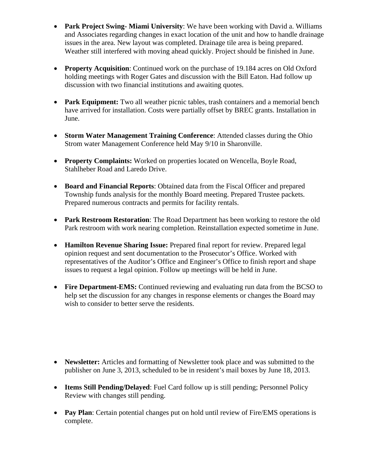- **Park Project Swing- Miami University**: We have been working with David a. Williams and Associates regarding changes in exact location of the unit and how to handle drainage issues in the area. New layout was completed. Drainage tile area is being prepared. Weather still interfered with moving ahead quickly. Project should be finished in June.
- **Property Acquisition**: Continued work on the purchase of 19.184 acres on Old Oxford holding meetings with Roger Gates and discussion with the Bill Eaton. Had follow up discussion with two financial institutions and awaiting quotes.
- **Park Equipment:** Two all weather picnic tables, trash containers and a memorial bench have arrived for installation. Costs were partially offset by BREC grants. Installation in June.
- **Storm Water Management Training Conference**: Attended classes during the Ohio Strom water Management Conference held May 9/10 in Sharonville.
- **Property Complaints:** Worked on properties located on Wencella, Boyle Road, Stahlheber Road and Laredo Drive.
- **Board and Financial Reports**: Obtained data from the Fiscal Officer and prepared Township funds analysis for the monthly Board meeting. Prepared Trustee packets. Prepared numerous contracts and permits for facility rentals.
- **Park Restroom Restoration**: The Road Department has been working to restore the old Park restroom with work nearing completion. Reinstallation expected sometime in June.
- **Hamilton Revenue Sharing Issue:** Prepared final report for review. Prepared legal opinion request and sent documentation to the Prosecutor's Office. Worked with representatives of the Auditor's Office and Engineer's Office to finish report and shape issues to request a legal opinion. Follow up meetings will be held in June.
- **Fire Department-EMS:** Continued reviewing and evaluating run data from the BCSO to help set the discussion for any changes in response elements or changes the Board may wish to consider to better serve the residents.

- **Newsletter:** Articles and formatting of Newsletter took place and was submitted to the publisher on June 3, 2013, scheduled to be in resident's mail boxes by June 18, 2013.
- **Items Still Pending/Delayed**: Fuel Card follow up is still pending; Personnel Policy Review with changes still pending.
- Pay Plan: Certain potential changes put on hold until review of Fire/EMS operations is complete.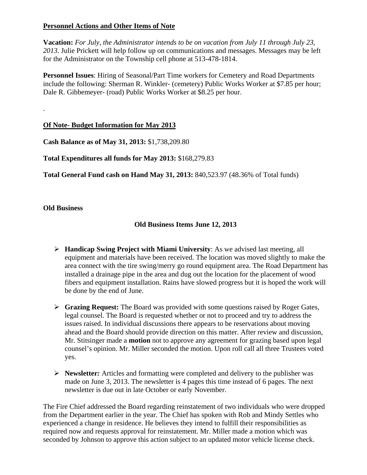#### **Personnel Actions and Other Items of Note**

**Vacation:** *For July, the Administrator intends to be on vacation from July 11 through July 23, 2013*. Julie Prickett will help follow up on communications and messages. Messages may be left for the Administrator on the Township cell phone at 513-478-1814.

**Personnel Issues**: Hiring of Seasonal/Part Time workers for Cemetery and Road Departments include the following: Sherman R. Winkler- (cemetery) Public Works Worker at \$7.85 per hour; Dale R. Gibbemeyer- (road) Public Works Worker at \$8.25 per hour.

## **Of Note- Budget Information for May 2013**

**Cash Balance as of May 31, 2013:** \$1,738,209.80

**Total Expenditures all funds for May 2013:** \$168,279.83

**Total General Fund cash on Hand May 31, 2013:** 840,523.97 (48.36% of Total funds)

#### **Old Business**

.

### **Old Business Items June 12, 2013**

- **Handicap Swing Project with Miami University**: As we advised last meeting, all equipment and materials have been received. The location was moved slightly to make the area connect with the tire swing/merry go round equipment area. The Road Department has installed a drainage pipe in the area and dug out the location for the placement of wood fibers and equipment installation. Rains have slowed progress but it is hoped the work will be done by the end of June.
- **Grazing Request:** The Board was provided with some questions raised by Roger Gates, legal counsel. The Board is requested whether or not to proceed and try to address the issues raised. In individual discussions there appears to be reservations about moving ahead and the Board should provide direction on this matter. After review and discussion, Mr. Stitsinger made a **motion** not to approve any agreement for grazing based upon legal counsel's opinion. Mr. Miller seconded the motion. Upon roll call all three Trustees voted yes.
- **Newsletter***:* Articles and formatting were completed and delivery to the publisher was made on June 3, 2013. The newsletter is 4 pages this time instead of 6 pages. The next newsletter is due out in late October or early November.

The Fire Chief addressed the Board regarding reinstatement of two individuals who were dropped from the Department earlier in the year. The Chief has spoken with Rob and Mindy Settles who experienced a change in residence. He believes they intend to fulfill their responsibilities as required now and requests approval for reinstatement. Mr. Miller made a motion which was seconded by Johnson to approve this action subject to an updated motor vehicle license check.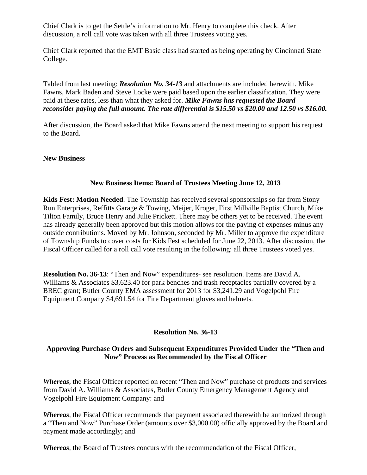Chief Clark is to get the Settle's information to Mr. Henry to complete this check. After discussion, a roll call vote was taken with all three Trustees voting yes.

Chief Clark reported that the EMT Basic class had started as being operating by Cincinnati State College.

Tabled from last meeting: *Resolution No. 34-13* and attachments are included herewith. Mike Fawns, Mark Baden and Steve Locke were paid based upon the earlier classification. They were paid at these rates, less than what they asked for. *Mike Fawns has requested the Board reconsider paying the full amount. The rate differential is \$15.50 vs \$20.00 and 12.50 vs \$16.00.* 

After discussion, the Board asked that Mike Fawns attend the next meeting to support his request to the Board.

#### **New Business**

#### **New Business Items: Board of Trustees Meeting June 12, 2013**

**Kids Fest: Motion Needed**. The Township has received several sponsorships so far from Stony Run Enterprises, Reffitts Garage & Towing, Meijer, Kroger, First Millville Baptist Church, Mike Tilton Family, Bruce Henry and Julie Prickett. There may be others yet to be received. The event has already generally been approved but this motion allows for the paying of expenses minus any outside contributions. Moved by Mr. Johnson, seconded by Mr. Miller to approve the expenditure of Township Funds to cover costs for Kids Fest scheduled for June 22, 2013. After discussion, the Fiscal Officer called for a roll call vote resulting in the following: all three Trustees voted yes.

**Resolution No. 36-13**: "Then and Now" expenditures- see resolution. Items are David A. Williams & Associates \$3,623.40 for park benches and trash receptacles partially covered by a BREC grant; Butler County EMA assessment for 2013 for \$3,241.29 and Vogelpohl Fire Equipment Company \$4,691.54 for Fire Department gloves and helmets.

#### **Resolution No. 36-13**

### **Approving Purchase Orders and Subsequent Expenditures Provided Under the "Then and Now" Process as Recommended by the Fiscal Officer**

*Whereas*, the Fiscal Officer reported on recent "Then and Now" purchase of products and services from David A. Williams & Associates, Butler County Emergency Management Agency and Vogelpohl Fire Equipment Company: and

*Whereas*, the Fiscal Officer recommends that payment associated therewith be authorized through a "Then and Now" Purchase Order (amounts over \$3,000.00) officially approved by the Board and payment made accordingly; and

*Whereas*, the Board of Trustees concurs with the recommendation of the Fiscal Officer,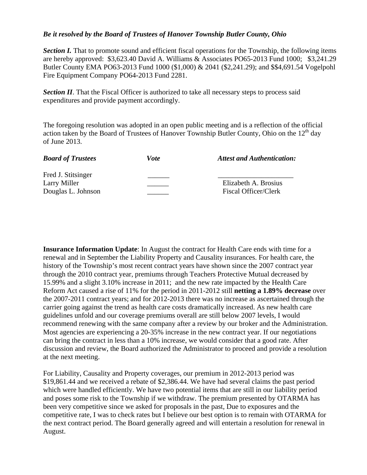#### *Be it resolved by the Board of Trustees of Hanover Township Butler County, Ohio*

**Section I.** That to promote sound and efficient fiscal operations for the Township, the following items are hereby approved: \$3,623.40 David A. Williams & Associates PO65-2013 Fund 1000; \$3,241.29 Butler County EMA PO63-2013 Fund 1000 (\$1,000) & 2041 (\$2,241.29); and \$\$4,691.54 Vogelpohl Fire Equipment Company PO64-2013 Fund 2281.

**Section II**. That the Fiscal Officer is authorized to take all necessary steps to process said expenditures and provide payment accordingly.

The foregoing resolution was adopted in an open public meeting and is a reflection of the official action taken by the Board of Trustees of Hanover Township Butler County, Ohio on the  $12<sup>th</sup>$  day of June 2013.

| <b>Board of Trustees</b> | Vote | <b>Attest and Authentication:</b> |
|--------------------------|------|-----------------------------------|
| Fred J. Stitsinger       |      |                                   |
| Larry Miller             |      | Elizabeth A. Brosius              |
| Douglas L. Johnson       |      | <b>Fiscal Officer/Clerk</b>       |

**Insurance Information Update**: In August the contract for Health Care ends with time for a renewal and in September the Liability Property and Causality insurances. For health care, the history of the Township's most recent contract years have shown since the 2007 contract year through the 2010 contract year, premiums through Teachers Protective Mutual decreased by 15.99% and a slight 3.10% increase in 2011; and the new rate impacted by the Health Care Reform Act caused a rise of 11% for the period in 2011-2012 still **netting a 1.89% decrease** over the 2007-2011 contract years; and for 2012-2013 there was no increase as ascertained through the carrier going against the trend as health care costs dramatically increased. As new health care guidelines unfold and our coverage premiums overall are still below 2007 levels, I would recommend renewing with the same company after a review by our broker and the Administration. Most agencies are experiencing a 20-35% increase in the new contract year. If our negotiations can bring the contract in less than a 10% increase, we would consider that a good rate. After discussion and review, the Board authorized the Administrator to proceed and provide a resolution at the next meeting.

For Liability, Causality and Property coverages, our premium in 2012-2013 period was \$19,861.44 and we received a rebate of \$2,386.44. We have had several claims the past period which were handled efficiently. We have two potential items that are still in our liability period and poses some risk to the Township if we withdraw. The premium presented by OTARMA has been very competitive since we asked for proposals in the past, Due to exposures and the competitive rate, I was to check rates but I believe our best option is to remain with OTARMA for the next contract period. The Board generally agreed and will entertain a resolution for renewal in August.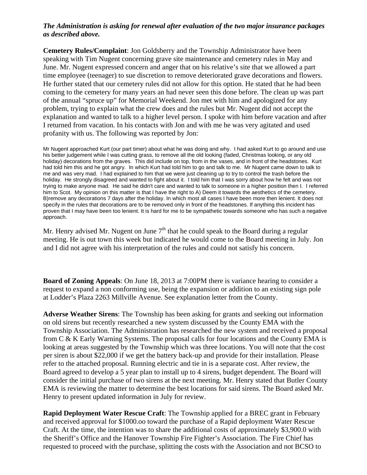#### *The Administration is asking for renewal after evaluation of the two major insurance packages as described above.*

**Cemetery Rules/Complaint**: Jon Goldsberry and the Township Administrator have been speaking with Tim Nugent concerning grave site maintenance and cemetery rules in May and June. Mr. Nugent expressed concern and anger that on his relative's site that we allowed a part time employee (teenager) to sue discretion to remove deteriorated grave decorations and flowers. He further stated that our cemetery rules did not allow for this option. He stated that he had been coming to the cemetery for many years an had never seen this done before. The clean up was part of the annual "spruce up" for Memorial Weekend. Jon met with him and apologized for any problem, trying to explain what the crew does and the rules but Mr. Nugent did not accept the explanation and wanted to talk to a higher level person. I spoke with him before vacation and after I returned from vacation. In his contacts with Jon and with me he was very agitated and used profanity with us. The following was reported by Jon:

Mr Nugent approached Kurt (our part timer) about what he was doing and why. I had asked Kurt to go around and use his better judgement while I was cutting grass, to remove all the old looking (faded, Christmas looking, or any old holiday) decorations from the graves. This did include on top, from in the vases, and in front of the headstones. Kurt had told him this and he got angry. In which Kurt had told him to go and talk to me. Mr Nugent came down to talk to me and was very mad. I had explained to him that we were just cleaning up to try to control the trash before the holiday. He strongly disagreed and wanted to fight about it. I told him that I was sorry about how he felt and was not trying to make anyone mad. He said he didn't care and wanted to talk to someone in a higher position then I. I referred him to Scot. My opinion on this matter is that I have the right to A) Deem it towards the aesthetics of the cemetery. B)remove any decorations 7 days after the holiday. In which most all cases I have been more then lenient. It does not specify in the rules that decorations are to be removed only in front of the headstones. If anything this incident has proven that I may have been too lenient. It is hard for me to be sympathetic towards someone who has such a negative approach.

Mr. Henry advised Mr. Nugent on June  $7<sup>th</sup>$  that he could speak to the Board during a regular meeting. He is out town this week but indicated he would come to the Board meeting in July. Jon and I did not agree with his interpretation of the rules and could not satisfy his concern.

**Board of Zoning Appeals**: On June 18, 2013 at 7:00PM there is variance hearing to consider a request to expand a non conforming use, being the expansion or addition to an existing sign pole at Lodder's Plaza 2263 Millville Avenue. See explanation letter from the County.

**Adverse Weather Sirens**: The Township has been asking for grants and seeking out information on old sirens but recently researched a new system discussed by the County EMA with the Township Association. The Administration has researched the new system and received a proposal from C & K Early Warning Systems. The proposal calls for four locations and the County EMA is looking at areas suggested by the Township which was three locations. You will note that the cost per siren is about \$22,000 if we get the battery back-up and provide for their installation. Please refer to the attached proposal. Running electric and tie in is a separate cost. After review, the Board agreed to develop a 5 year plan to install up to 4 sirens, budget dependent. The Board will consider the initial purchase of two sirens at the next meeting. Mr. Henry stated that Butler County EMA is reviewing the matter to determine the best locations for said sirens. The Board asked Mr. Henry to present updated information in July for review.

**Rapid Deployment Water Rescue Craft**: The Township applied for a BREC grant in February and received approval for \$1000.oo toward the purchase of a Rapid deployment Water Rescue Craft. At the time, the intention was to share the additional costs of approximately \$3,900.0 with the Sheriff's Office and the Hanover Township Fire Fighter's Association. The Fire Chief has requested to proceed with the purchase, splitting the costs with the Association and not BCSO to